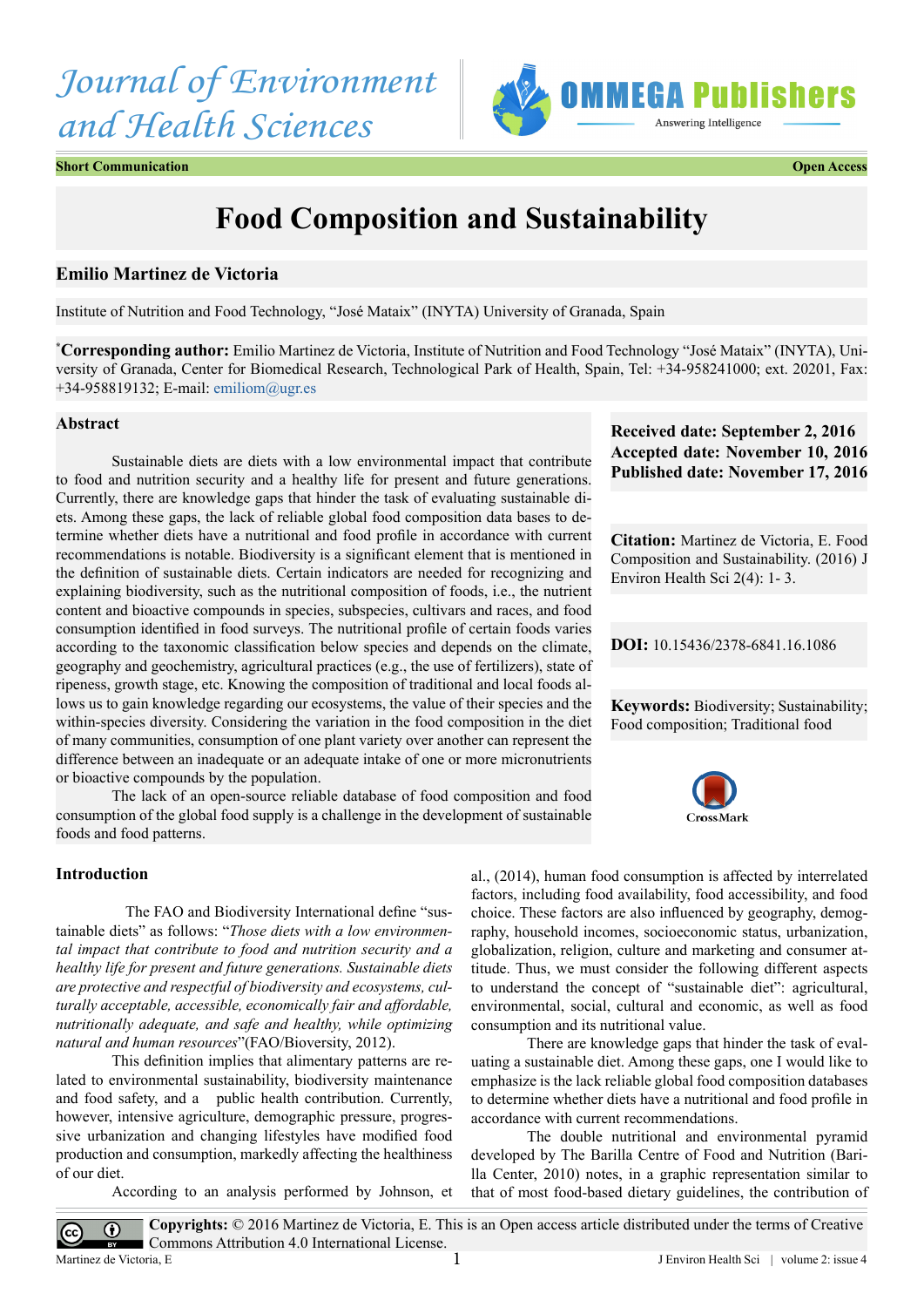# *Journal of Environment and Health Sciences*



**Short Communication Open Access**

# **Food Composition and Sustainability**

## **Emilio Martinez de Victoria**

Institute of Nutrition and Food Technology, "José Mataix" (INYTA) University of Granada, Spain

**\* Corresponding author:** Emilio Martinez de Victoria, Institute of Nutrition and Food Technology "José Mataix" (INYTA), University of Granada, Center for Biomedical Research, Technological Park of Health, Spain, Tel: +34-958241000; ext. 20201, Fax: +34-958819132; E-mail: [emiliom@ugr.es](mailto:emiliom@ugr.es)

#### **Abstract**

Sustainable diets are diets with a low environmental impact that contribute to food and nutrition security and a healthy life for present and future generations. Currently, there are knowledge gaps that hinder the task of evaluating sustainable diets. Among these gaps, the lack of reliable global food composition data bases to determine whether diets have a nutritional and food profile in accordance with current recommendations is notable. Biodiversity is a significant element that is mentioned in the definition of sustainable diets. Certain indicators are needed for recognizing and explaining biodiversity, such as the nutritional composition of foods, i.e., the nutrient content and bioactive compounds in species, subspecies, cultivars and races, and food consumption identified in food surveys. The nutritional profile of certain foods varies according to the taxonomic classification below species and depends on the climate, geography and geochemistry, agricultural practices (e.g., the use of fertilizers), state of ripeness, growth stage, etc. Knowing the composition of traditional and local foods allows us to gain knowledge regarding our ecosystems, the value of their species and the within-species diversity. Considering the variation in the food composition in the diet of many communities, consumption of one plant variety over another can represent the difference between an inadequate or an adequate intake of one or more micronutrients or bioactive compounds by the population.

The lack of an open-source reliable database of food composition and food consumption of the global food supply is a challenge in the development of sustainable foods and food patterns.

#### **Introduction**

(cc)

 The FAO and Biodiversity International define "sustainable diets" as follows: "*Those diets with a low environmental impact that contribute to food and nutrition security and a healthy life for present and future generations. Sustainable diets are protective and respectful of biodiversity and ecosystems, culturally acceptable, accessible, economically fair and affordable, nutritionally adequate, and safe and healthy, while optimizing natural and human resources*"(FAO/Bioversity, 2012).

This definition implies that alimentary patterns are related to environmental sustainability, biodiversity maintenance and food safety, and a public health contribution. Currently, however, intensive agriculture, demographic pressure, progressive urbanization and changing lifestyles have modified food production and consumption, markedly affecting the healthiness of our diet.

According to an analysis performed by Johnson, et

**Received date: September 2, 2016 Accepted date: November 10, 2016 Published date: November 17, 2016**

**Citation:** Martinez de Victoria, E. Food Composition and Sustainability. (2016) J Environ Health Sci 2(4): 1- 3.

**DOI:** [10.15436/2378-6841.16.](http://www.dx.doi.org/10.15436/2378-6841.16.1086
)1086

**Keywords:** Biodiversity; Sustainability; Food composition; Traditional food



al., (2014), human food consumption is affected by interrelated factors, including food availability, food accessibility, and food choice. These factors are also influenced by geography, demography, household incomes, socioeconomic status, urbanization, globalization, religion, culture and marketing and consumer attitude. Thus, we must consider the following different aspects to understand the concept of "sustainable diet": agricultural, environmental, social, cultural and economic, as well as food consumption and its nutritional value.

There are knowledge gaps that hinder the task of evaluating a sustainable diet. Among these gaps, one I would like to emphasize is the lack reliable global food composition databases to determine whether diets have a nutritional and food profile in accordance with current recommendations.

The double nutritional and environmental pyramid developed by The Barilla Centre of Food and Nutrition (Barilla Center, 2010) notes, in a graphic representation similar to that of most food-based dietary guidelines, the contribution of

**Copyrights:** © 2016 Martinez de Victoria, E. This is an Open access article distributed under the terms of Creative  $\odot$ Commons Attribution 4.0 International License. Martinez de Victoria, E J Environ Health Sci | volume 2: issue 4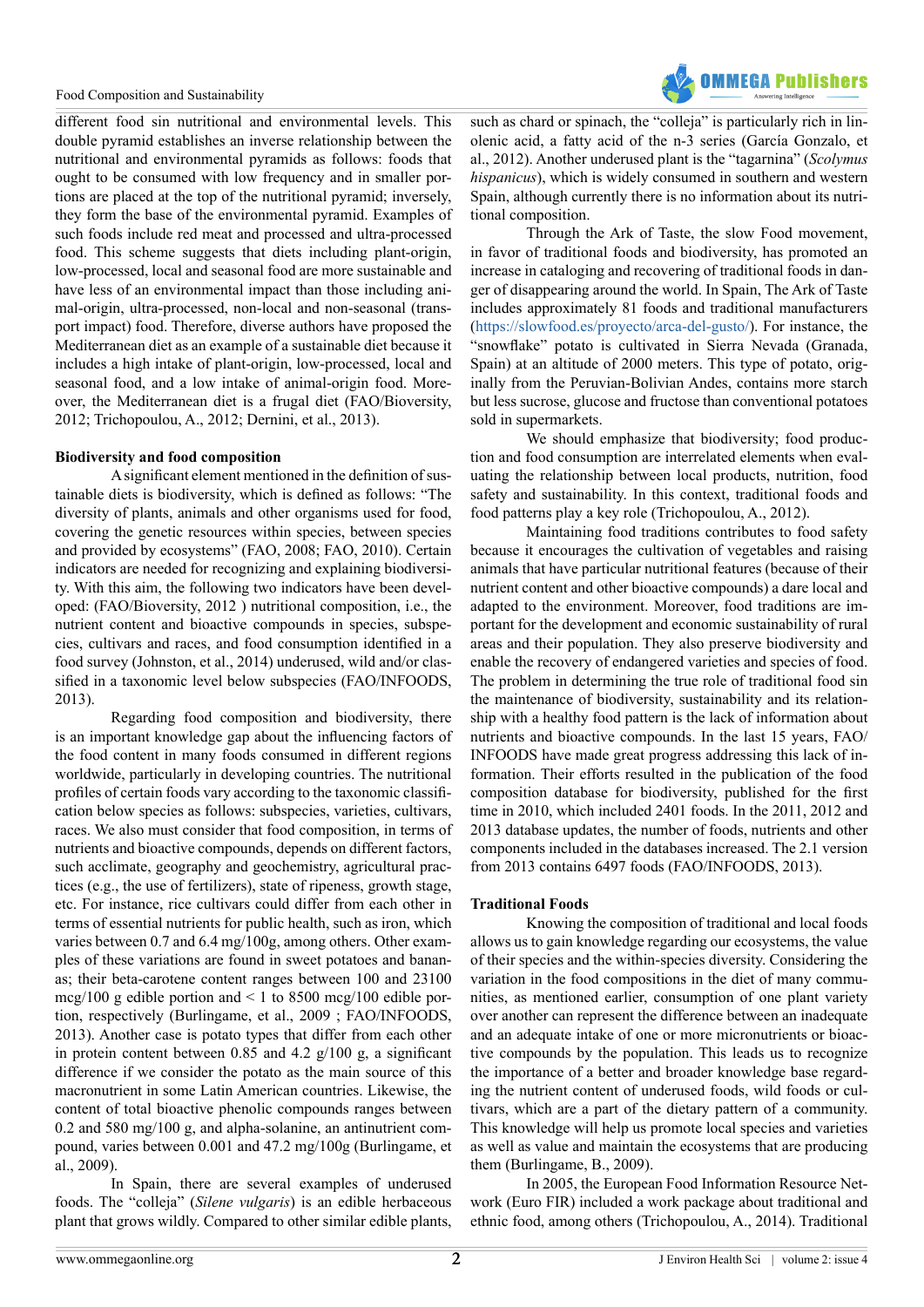

different food sin nutritional and environmental levels. This double pyramid establishes an inverse relationship between the nutritional and environmental pyramids as follows: foods that ought to be consumed with low frequency and in smaller portions are placed at the top of the nutritional pyramid; inversely, they form the base of the environmental pyramid. Examples of such foods include red meat and processed and ultra-processed food. This scheme suggests that diets including plant-origin, low-processed, local and seasonal food are more sustainable and have less of an environmental impact than those including animal-origin, ultra-processed, non-local and non-seasonal (transport impact) food. Therefore, diverse authors have proposed the Mediterranean diet as an example of a sustainable diet because it includes a high intake of plant-origin, low-processed, local and seasonal food, and a low intake of animal-origin food. Moreover, the Mediterranean diet is a frugal diet (FAO/Bioversity, 2012; Trichopoulou, A., 2012; Dernini, et al., 2013).

### **Biodiversity and food composition**

A significant element mentioned in the definition of sustainable diets is biodiversity, which is defined as follows: "The diversity of plants, animals and other organisms used for food, covering the genetic resources within species, between species and provided by ecosystems" (FAO, 2008; FAO, 2010). Certain indicators are needed for recognizing and explaining biodiversity. With this aim, the following two indicators have been developed: (FAO/Bioversity, 2012 ) nutritional composition, i.e., the nutrient content and bioactive compounds in species, subspecies, cultivars and races, and food consumption identified in a food survey (Johnston, et al., 2014) underused, wild and/or classified in a taxonomic level below subspecies (FAO/INFOODS, 2013).

Regarding food composition and biodiversity, there is an important knowledge gap about the influencing factors of the food content in many foods consumed in different regions worldwide, particularly in developing countries. The nutritional profiles of certain foods vary according to the taxonomic classification below species as follows: subspecies, varieties, cultivars, races. We also must consider that food composition, in terms of nutrients and bioactive compounds, depends on different factors, such acclimate, geography and geochemistry, agricultural practices (e.g., the use of fertilizers), state of ripeness, growth stage, etc. For instance, rice cultivars could differ from each other in terms of essential nutrients for public health, such as iron, which varies between 0.7 and 6.4 mg/100g, among others. Other examples of these variations are found in sweet potatoes and bananas; their beta-carotene content ranges between 100 and 23100 mcg/100 g edible portion and  $\leq 1$  to 8500 mcg/100 edible portion, respectively (Burlingame, et al., 2009 ; FAO/INFOODS, 2013). Another case is potato types that differ from each other in protein content between 0.85 and 4.2  $g/100 g$ , a significant difference if we consider the potato as the main source of this macronutrient in some Latin American countries. Likewise, the content of total bioactive phenolic compounds ranges between 0.2 and 580 mg/100 g, and alpha-solanine, an antinutrient compound, varies between 0.001 and 47.2 mg/100g (Burlingame, et al., 2009).

In Spain, there are several examples of underused foods. The "colleja" (*Silene vulgaris*) is an edible herbaceous plant that grows wildly. Compared to other similar edible plants, such as chard or spinach, the "colleja" is particularly rich in linolenic acid, a fatty acid of the n-3 series (García Gonzalo, et al., 2012). Another underused plant is the "tagarnina" (*Scolymus hispanicus*), which is widely consumed in southern and western Spain, although currently there is no information about its nutritional composition.

Through the Ark of Taste, the slow Food movement, in favor of traditional foods and biodiversity, has promoted an increase in cataloging and recovering of traditional foods in danger of disappearing around the world. In Spain, The Ark of Taste includes approximately 81 foods and traditional manufacturers ([https://slowfood.es/proyecto/arca-del-gusto/\)](https://slowfood.es/proyecto/arca-del-gusto/). For instance, the "snowflake" potato is cultivated in Sierra Nevada (Granada, Spain) at an altitude of 2000 meters. This type of potato, originally from the Peruvian-Bolivian Andes, contains more starch but less sucrose, glucose and fructose than conventional potatoes sold in supermarkets.

We should emphasize that biodiversity; food production and food consumption are interrelated elements when evaluating the relationship between local products, nutrition, food safety and sustainability. In this context, traditional foods and food patterns play a key role (Trichopoulou, A., 2012).

Maintaining food traditions contributes to food safety because it encourages the cultivation of vegetables and raising animals that have particular nutritional features (because of their nutrient content and other bioactive compounds) a dare local and adapted to the environment. Moreover, food traditions are important for the development and economic sustainability of rural areas and their population. They also preserve biodiversity and enable the recovery of endangered varieties and species of food. The problem in determining the true role of traditional food sin the maintenance of biodiversity, sustainability and its relationship with a healthy food pattern is the lack of information about nutrients and bioactive compounds. In the last 15 years, FAO/ INFOODS have made great progress addressing this lack of information. Their efforts resulted in the publication of the food composition database for biodiversity, published for the first time in 2010, which included 2401 foods. In the 2011, 2012 and 2013 database updates, the number of foods, nutrients and other components included in the databases increased. The 2.1 version from 2013 contains 6497 foods (FAO/INFOODS, 2013).

#### **Traditional Foods**

Knowing the composition of traditional and local foods allows us to gain knowledge regarding our ecosystems, the value of their species and the within-species diversity. Considering the variation in the food compositions in the diet of many communities, as mentioned earlier, consumption of one plant variety over another can represent the difference between an inadequate and an adequate intake of one or more micronutrients or bioactive compounds by the population. This leads us to recognize the importance of a better and broader knowledge base regarding the nutrient content of underused foods, wild foods or cultivars, which are a part of the dietary pattern of a community. This knowledge will help us promote local species and varieties as well as value and maintain the ecosystems that are producing them (Burlingame, B., 2009).

In 2005, the European Food Information Resource Network (Euro FIR) included a work package about traditional and ethnic food, among others (Trichopoulou, A., 2014). Traditional